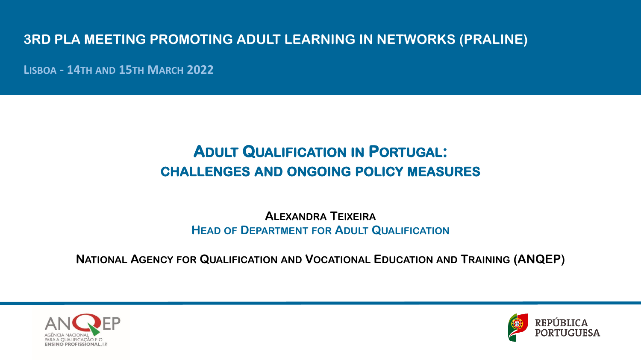## **3RD PLA MEETING PROMOTING ADULT LEARNING IN NETWORKS (PRALINE)**

**LISBOA - 14TH AND 15TH MARCH 2022**

# **ADULT QUALIFICATION IN PORTUGAL: CHALLENGES AND ONGOING POLICY MEASURES**

**ALEXANDRA TEIXEIRA HEAD OF DEPARTMENT FOR ADULT QUALIFICATION**

**NATIONAL AGENCY FOR QUALIFICATION AND VOCATIONAL EDUCATION AND TRAINING (ANQEP)**



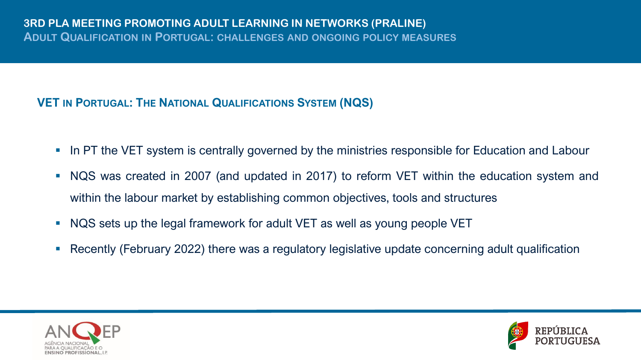### **VET IN PORTUGAL: THE NATIONAL QUALIFICATIONS SYSTEM (NQS)**

- **In PT the VET system is centrally governed by the ministries responsible for Education and Labour**
- NQS was created in 2007 (and updated in 2017) to reform VET within the education system and within the labour market by establishing common objectives, tools and structures
- NQS sets up the legal framework for adult VET as well as young people VET
- **Recently (February 2022) there was a regulatory legislative update concerning adult qualification**



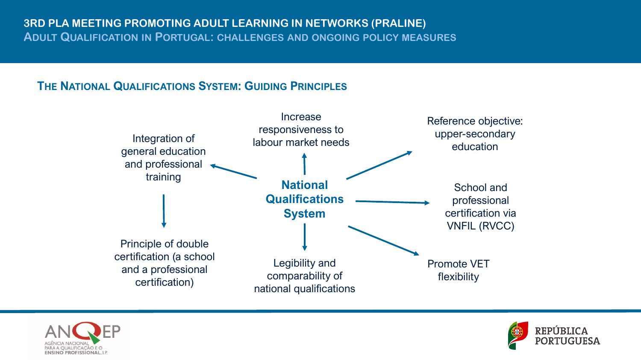### **THE NATIONAL QUALIFICATIONS SYSTEM: GUIDING PRINCIPLES**





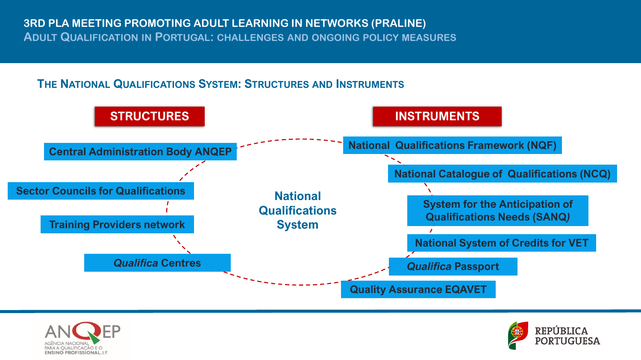### **THE NATIONAL QUALIFICATIONS SYSTEM: STRUCTURES AND INSTRUMENTS**





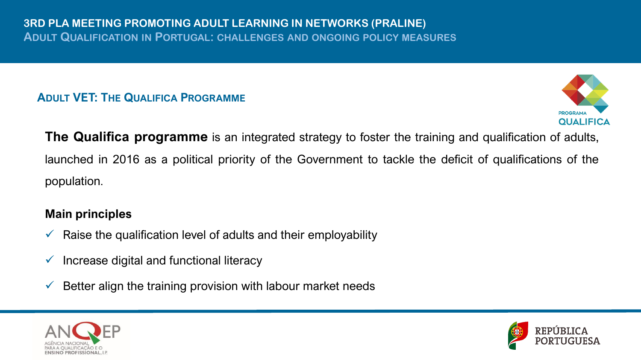### **ADULT VET: THE QUALIFICA PROGRAMME**



**The Qualifica programme** is an integrated strategy to foster the training and qualification of adults, launched in 2016 as a political priority of the Government to tackle the deficit of qualifications of the population.

### **Main principles**

- $\checkmark$  Raise the qualification level of adults and their employability
- $\checkmark$  Increase digital and functional literacy
- $\checkmark$  Better align the training provision with labour market needs



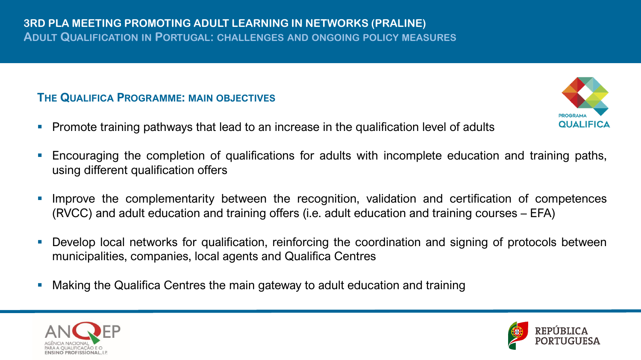### **THE QUALIFICA PROGRAMME: MAIN OBJECTIVES**

- **•** Promote training pathways that lead to an increase in the qualification level of adults
- **Encouraging the completion of qualifications for adults with incomplete education and training paths,** using different qualification offers
- Improve the complementarity between the recognition, validation and certification of competences (RVCC) and adult education and training offers (i.e. adult education and training courses – EFA)
- **•** Develop local networks for qualification, reinforcing the coordination and signing of protocols between municipalities, companies, local agents and Qualifica Centres
- Making the Qualifica Centres the main gateway to adult education and training





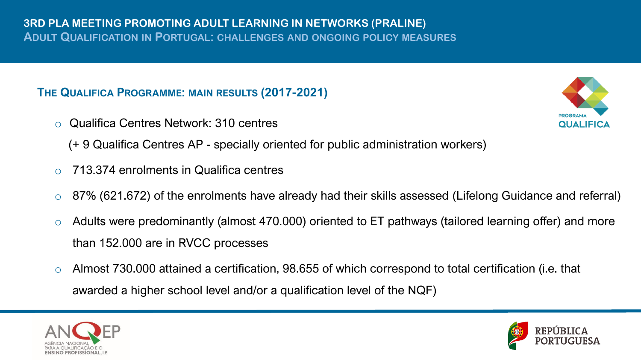### **THE QUALIFICA PROGRAMME: MAIN RESULTS (2017-2021)**

o Qualifica Centres Network: 310 centres



- (+ 9 Qualifica Centres AP specially oriented for public administration workers)
- o 713.374 enrolments in Qualifica centres
- $\circ$  87% (621.672) of the enrolments have already had their skills assessed (Lifelong Guidance and referral)
- o Adults were predominantly (almost 470.000) oriented to ET pathways (tailored learning offer) and more than 152.000 are in RVCC processes
- o Almost 730.000 attained a certification, 98.655 of which correspond to total certification (i.e. that awarded a higher school level and/or a qualification level of the NQF)



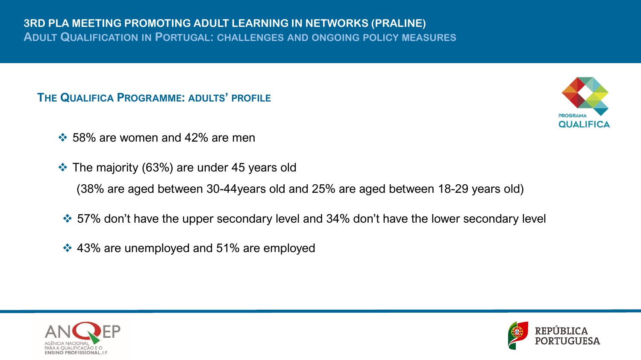### **THE QUALIFICA PROGRAMME: ADULTS' PROFILE**



- $\div$  58% are women and 42% are men
- ❖ The majority (63%) are under 45 years old (38% are aged between 30-44years old and 25% are aged between 18-29 years old)
- ❖ 57% don't have the upper secondary level and 34% don't have the lower secondary level
- ❖ 43% are unemployed and 51% are employed



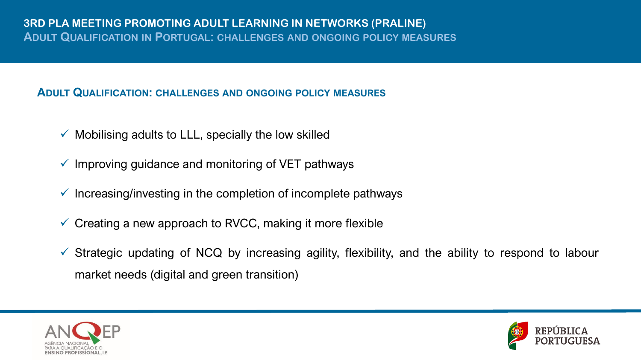#### **ADULT QUALIFICATION: CHALLENGES AND ONGOING POLICY MEASURES**

- Mobilising adults to LLL, specially the low skilled
- $\checkmark$  Improving guidance and monitoring of VET pathways
- $\checkmark$  Increasing/investing in the completion of incomplete pathways
- $\checkmark$  Creating a new approach to RVCC, making it more flexible
- $\checkmark$  Strategic updating of NCQ by increasing agility, flexibility, and the ability to respond to labour market needs (digital and green transition)